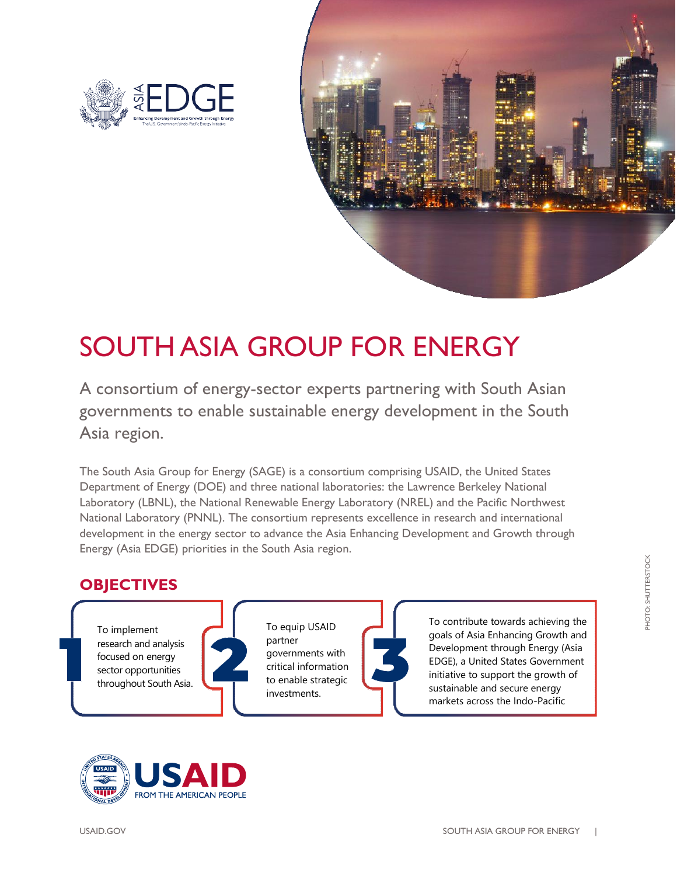



## SOUTH ASIA GROUP FOR ENERGY

A consortium of energy-sector experts partnering with South Asian governments to enable sustainable energy development in the South Asia region.

The South Asia Group for Energy (SAGE) is a consortium comprising USAID, the United States Department of Energy (DOE) and three national laboratories: the Lawrence Berkeley National Laboratory (LBNL), the National Renewable Energy Laboratory (NREL) and the Pacific Northwest National Laboratory (PNNL). The consortium represents excellence in research and international development in the energy sector to advance the Asia Enhancing Development and Growth through Energy (Asia EDGE) priorities in the South Asia region.

## **OBJECTIVES**

To implement research and analysis focused on energy sector opportunities throughout South Asia.



To equip USAID partner governments with critical information to enable strategic investments.





**PHOTO: SHUTTERSTOCK** PHOTO: SHUTTERSTOCK